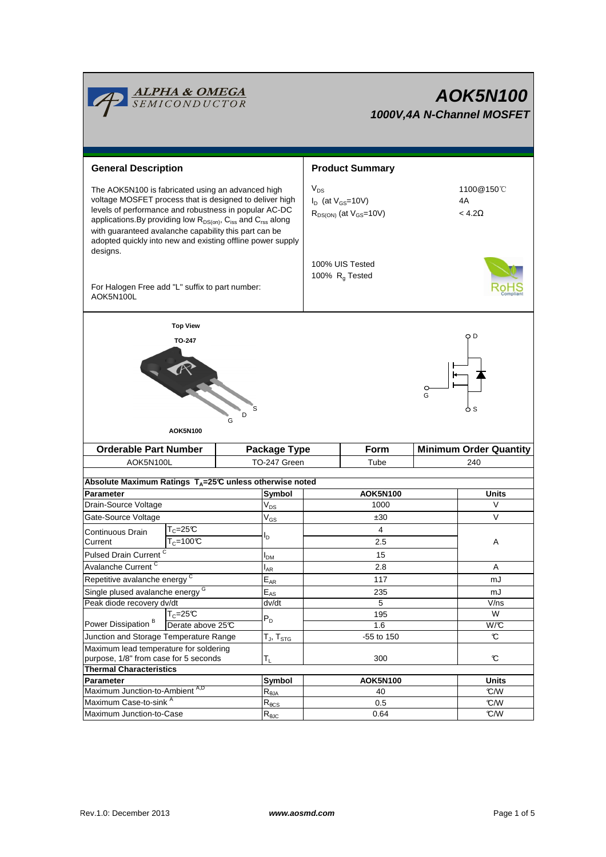

# **AOK5N100 1000V,4A N-Channel MOSFET**

| <b>General Description</b>                                                                                                                                                                                                                                                                                                                                                                       |                   |                                                                           | <b>Product Summary</b>                                                  |                 |                                   |  |  |  |
|--------------------------------------------------------------------------------------------------------------------------------------------------------------------------------------------------------------------------------------------------------------------------------------------------------------------------------------------------------------------------------------------------|-------------------|---------------------------------------------------------------------------|-------------------------------------------------------------------------|-----------------|-----------------------------------|--|--|--|
| The AOK5N100 is fabricated using an advanced high<br>voltage MOSFET process that is designed to deliver high<br>levels of performance and robustness in popular AC-DC<br>applications. By providing low R <sub>DS(on)</sub> , C <sub>iss</sub> and C <sub>rss</sub> along<br>with guaranteed avalanche capability this part can be<br>adopted quickly into new and existing offline power supply |                   |                                                                           | $V_{DS}$<br>$I_D$ (at $V_{GS}$ =10V)<br>$R_{DS(ON)}$ (at $V_{GS}$ =10V) |                 | 1100@150°C<br>4A<br>$< 4.2\Omega$ |  |  |  |
| designs.<br>For Halogen Free add "L" suffix to part number:<br>AOK5N100L                                                                                                                                                                                                                                                                                                                         |                   |                                                                           | 100% UIS Tested<br>100% $R_q$ Tested                                    |                 |                                   |  |  |  |
|                                                                                                                                                                                                                                                                                                                                                                                                  | <b>Top View</b>   |                                                                           |                                                                         |                 |                                   |  |  |  |
| ОD<br><b>TO-247</b><br>$\circ$<br>G<br><b>AOK5N100</b>                                                                                                                                                                                                                                                                                                                                           |                   |                                                                           |                                                                         |                 |                                   |  |  |  |
| <b>Orderable Part Number</b>                                                                                                                                                                                                                                                                                                                                                                     |                   | Package Type                                                              |                                                                         | <b>Form</b>     | <b>Minimum Order Quantity</b>     |  |  |  |
| AOK5N100L                                                                                                                                                                                                                                                                                                                                                                                        |                   | TO-247 Green                                                              | Tube                                                                    |                 | 240                               |  |  |  |
|                                                                                                                                                                                                                                                                                                                                                                                                  |                   | Absolute Maximum Ratings $T_A = 25^\circ \text{C}$ unless otherwise noted |                                                                         |                 |                                   |  |  |  |
| Parameter                                                                                                                                                                                                                                                                                                                                                                                        |                   | Symbol                                                                    |                                                                         | <b>AOK5N100</b> | <b>Units</b>                      |  |  |  |
| Drain-Source Voltage                                                                                                                                                                                                                                                                                                                                                                             |                   | $V_{DS}$                                                                  | 1000                                                                    |                 | V                                 |  |  |  |
| Gate-Source Voltage                                                                                                                                                                                                                                                                                                                                                                              |                   | $V_{GS}$                                                                  | ±30                                                                     |                 | V                                 |  |  |  |
| Continuous Drain                                                                                                                                                                                                                                                                                                                                                                                 | $T_c = 25C$       |                                                                           | 4                                                                       |                 |                                   |  |  |  |
| Current                                                                                                                                                                                                                                                                                                                                                                                          | $T_c = 100C$      | ΙD                                                                        | 2.5                                                                     |                 | Α                                 |  |  |  |
| Pulsed Drain Current <sup>C</sup>                                                                                                                                                                                                                                                                                                                                                                |                   |                                                                           |                                                                         | 15              |                                   |  |  |  |
| Avalanche Current <sup>C</sup>                                                                                                                                                                                                                                                                                                                                                                   |                   | <b>I</b> <sub>DM</sub><br>$I_{AR}$                                        | 2.8                                                                     |                 | Α                                 |  |  |  |
| Repetitive avalanche energy <sup>C</sup>                                                                                                                                                                                                                                                                                                                                                         |                   | $E_{AR}$                                                                  | 117                                                                     |                 | mJ                                |  |  |  |
| Single plused avalanche energy <sup>G</sup>                                                                                                                                                                                                                                                                                                                                                      |                   | $E_{AS}$                                                                  |                                                                         | 235             | mJ                                |  |  |  |
| Peak diode recovery dv/dt                                                                                                                                                                                                                                                                                                                                                                        |                   | dv/dt                                                                     | $\overline{5}$                                                          |                 | V/ns                              |  |  |  |
| Power Dissipation <sup>B</sup>                                                                                                                                                                                                                                                                                                                                                                   | $T_c = 25C$       | $\mathsf{P}_\mathsf{D}$                                                   | 195                                                                     |                 | W                                 |  |  |  |
|                                                                                                                                                                                                                                                                                                                                                                                                  | Derate above 25°C |                                                                           |                                                                         | 1.6             | W/C                               |  |  |  |
| Junction and Storage Temperature Range                                                                                                                                                                                                                                                                                                                                                           |                   | $T_J$ , $T_{STG}$                                                         | -55 to 150                                                              |                 | C                                 |  |  |  |
| Maximum lead temperature for soldering<br>purpose, 1/8" from case for 5 seconds                                                                                                                                                                                                                                                                                                                  |                   |                                                                           |                                                                         |                 |                                   |  |  |  |
| <b>Thermal Characteristics</b>                                                                                                                                                                                                                                                                                                                                                                   | $T_L$             | 300                                                                       |                                                                         | C               |                                   |  |  |  |
| Parameter                                                                                                                                                                                                                                                                                                                                                                                        |                   | Symbol                                                                    | <b>AOK5N100</b>                                                         |                 | <b>Units</b>                      |  |  |  |
| Maximum Junction-to-Ambient A,D                                                                                                                                                                                                                                                                                                                                                                  |                   | $R_{\theta$ JA                                                            |                                                                         | 40              | C/W                               |  |  |  |
| Maximum Case-to-sink A                                                                                                                                                                                                                                                                                                                                                                           |                   | $R_{\underline{\theta CS}}$                                               |                                                                         | 0.5             | C/W                               |  |  |  |
| Maximum Junction-to-Case                                                                                                                                                                                                                                                                                                                                                                         |                   | $R_{\theta JC}$                                                           |                                                                         | 0.64            | C/W                               |  |  |  |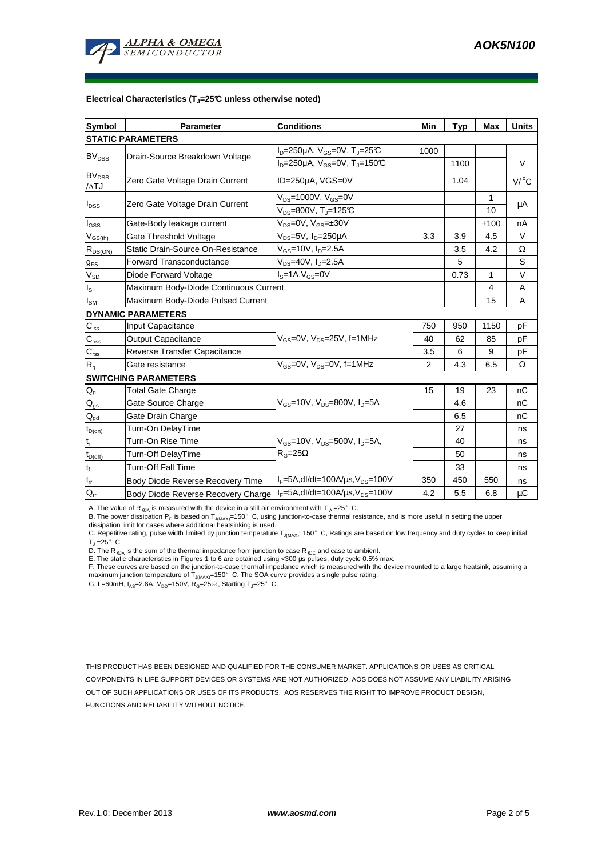

#### **Electrical Characteristics (TJ=25°C unless otherwise noted)**

| <b>Symbol</b>                               | <b>Parameter</b>                      | <b>Conditions</b>                                                    | Min  | <b>Typ</b> | <b>Max</b>   | <b>Units</b>    |  |  |  |  |  |
|---------------------------------------------|---------------------------------------|----------------------------------------------------------------------|------|------------|--------------|-----------------|--|--|--|--|--|
| <b>STATIC PARAMETERS</b>                    |                                       |                                                                      |      |            |              |                 |  |  |  |  |  |
| <b>BV<sub>DSS</sub></b>                     | Drain-Source Breakdown Voltage        | I <sub>D</sub> =250µA, V <sub>GS</sub> =0V, T <sub>J</sub> =25℃      | 1000 |            |              |                 |  |  |  |  |  |
|                                             |                                       | I <sub>D</sub> =250µA, V <sub>GS</sub> =0V, T <sub>J</sub> =150℃     |      | 1100       |              | V               |  |  |  |  |  |
| $\overline{\text{BV}}_{\text{DSS}}$<br>/ATJ | Zero Gate Voltage Drain Current       | ID=250µA, VGS=0V                                                     |      | 1.04       |              | $V/{}^{\circ}C$ |  |  |  |  |  |
| I <sub>DSS</sub>                            | Zero Gate Voltage Drain Current       | $V_{DS}$ =1000V, $V_{GS}$ =0V                                        |      |            | $\mathbf{1}$ | μA              |  |  |  |  |  |
|                                             |                                       | $V_{DS}$ =800V, T <sub>J</sub> =125°C                                |      |            | 10           |                 |  |  |  |  |  |
| l <sub>GSS</sub>                            | Gate-Body leakage current             | $V_{DS} = 0V$ , $V_{GS} = \pm 30V$                                   |      |            | ±100         | nA              |  |  |  |  |  |
| $V_{GS(th)}$                                | Gate Threshold Voltage                | V <sub>DS</sub> =5V, I <sub>D</sub> =250µA                           | 3.3  | 3.9        | 4.5          | V               |  |  |  |  |  |
| $R_{DS(ON)}$                                | Static Drain-Source On-Resistance     | V <sub>GS</sub> =10V, I <sub>D</sub> =2.5A                           |      | 3.5        | 4.2          | Ω               |  |  |  |  |  |
| <b>g</b> <sub>FS</sub>                      | <b>Forward Transconductance</b>       | $V_{DS}$ =40V, I <sub>D</sub> =2.5A                                  |      | 5          |              | S               |  |  |  |  |  |
| $V_{SD}$                                    | Diode Forward Voltage                 | $IS=1A, VGS=0V$                                                      |      | 0.73       | 1            | $\vee$          |  |  |  |  |  |
| Is                                          | Maximum Body-Diode Continuous Current |                                                                      |      | 4          | Α            |                 |  |  |  |  |  |
| I <sub>SM</sub>                             | Maximum Body-Diode Pulsed Current     |                                                                      |      | 15         | A            |                 |  |  |  |  |  |
|                                             | <b>DYNAMIC PARAMETERS</b>             |                                                                      |      |            |              |                 |  |  |  |  |  |
| $C_{\text{iss}}$                            | Input Capacitance                     |                                                                      | 750  | 950        | 1150         | рF              |  |  |  |  |  |
| $C_{\rm oss}$                               | <b>Output Capacitance</b>             | $V_{GS}$ =0V, $V_{DS}$ =25V, f=1MHz                                  | 40   | 62         | 85           | рF              |  |  |  |  |  |
| $C_{\text{rss}}$                            | Reverse Transfer Capacitance          |                                                                      | 3.5  | 6          | 9            | рF              |  |  |  |  |  |
| R <sub>g</sub>                              | Gate resistance                       | $V_{GS}$ =0V, $V_{DS}$ =0V, f=1MHz                                   | 2    | 4.3        | 6.5          | Ω               |  |  |  |  |  |
| <b>SWITCHING PARAMETERS</b>                 |                                       |                                                                      |      |            |              |                 |  |  |  |  |  |
| $\mathsf{Q}_{\mathsf{g}}$                   | <b>Total Gate Charge</b>              |                                                                      | 15   | 19         | 23           | nC              |  |  |  |  |  |
| $\mathsf{Q}_{\text{gs}}$                    | Gate Source Charge                    | $V_{\text{GS}} = 10V$ , $V_{\text{DS}} = 800V$ , $I_{\text{D}} = 5A$ |      | 4.6        |              | nC              |  |  |  |  |  |
| $\mathsf{Q}_{\underline{\mathsf{gd}}}$      | Gate Drain Charge                     |                                                                      |      | 6.5        |              | nC              |  |  |  |  |  |
| $t_{D(0n)}$                                 | Turn-On DelayTime                     |                                                                      |      | 27         |              | ns              |  |  |  |  |  |
| t,                                          | Turn-On Rise Time                     | $V_{GS}$ =10V, $V_{DS}$ =500V, $I_{D}$ =5A,                          |      | 40         |              | ns              |  |  |  |  |  |
| $t_{D(off)}$                                | Turn-Off DelayTime                    | $R_G = 25\Omega$                                                     |      | 50         |              | ns              |  |  |  |  |  |
| $\mathfrak{t}_{\mathfrak{f}}$               | <b>Turn-Off Fall Time</b>             |                                                                      |      | 33         |              | ns              |  |  |  |  |  |
| $\mathfrak{t}_{\mathfrak{m}}$               | Body Diode Reverse Recovery Time      | $I_F = 5A$ , dl/dt=100A/ $\mu$ s, V <sub>DS</sub> =100V              | 350  | 450        | 550          | ns              |  |  |  |  |  |
| $\mathsf{Q}_{\mathsf{r}\mathsf{r}}$         | Body Diode Reverse Recovery Charge    | $I_F = 5A$ , dl/dt=100A/ $\mu$ s, V <sub>DS</sub> =100V              | 4.2  | 5.5        | 6.8          | μC              |  |  |  |  |  |

A. The value of R<sub>6JA</sub> is measured with the device in a still air environment with T<sub>A</sub>=25°C.

B. The power dissipation P<sub>D</sub> is based on T<sub>J(MAX)</sub>=150°C, using junction-to-case thermal resistance, and is more useful in setting the upper dissipation limit for cases where additional heatsinking is used.

C. Repetitive rating, pulse width limited by junction temperature T<sub>J(MAX)</sub>=150°C, Ratings are based on low frequency and duty cycles to keep initial  $T_{\text{J}} = 25^{\circ}$  C.

D. The R  $_{\theta$ JA is the sum of the thermal impedance from junction to case R  $_{\theta$ JC and case to ambient.

E. The static characteristics in Figures 1 to 6 are obtained using <300 µs pulses, duty cycle 0.5% max.<br>F. These curves are based on the junction-to-case thermal impedance which is measured with the device mounted to a la

G. L=60mH,  $I_{AS}$ =2.8A,  $V_{DD}$ =150V,  $R_G$ =25 $\Omega$ , Starting T<sub>J</sub>=25°C.

THIS PRODUCT HAS BEEN DESIGNED AND QUALIFIED FOR THE CONSUMER MARKET. APPLICATIONS OR USES AS CRITICAL COMPONENTS IN LIFE SUPPORT DEVICES OR SYSTEMS ARE NOT AUTHORIZED. AOS DOES NOT ASSUME ANY LIABILITY ARISING OUT OF SUCH APPLICATIONS OR USES OF ITS PRODUCTS. AOS RESERVES THE RIGHT TO IMPROVE PRODUCT DESIGN, FUNCTIONS AND RELIABILITY WITHOUT NOTICE.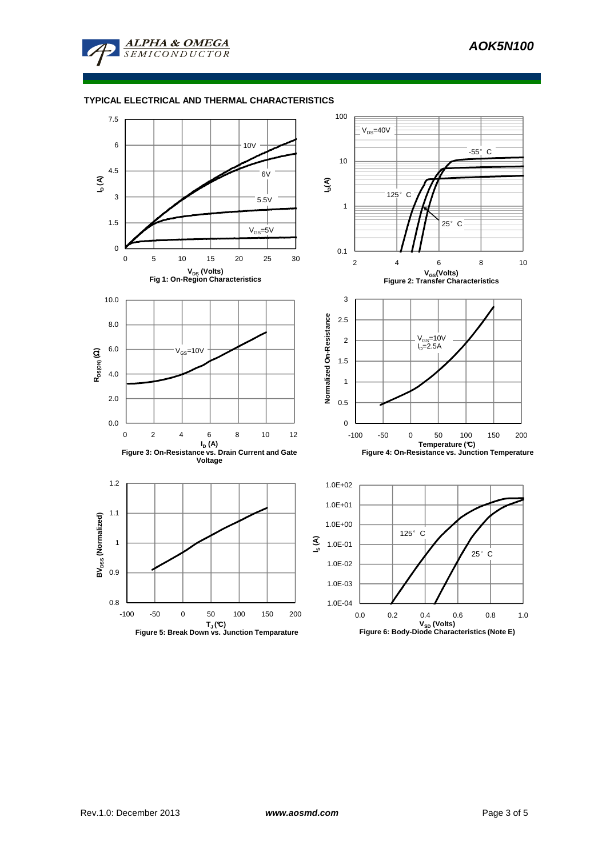

# **TYPICAL ELECTRICAL AND THERMAL CHARACTERISTICS**

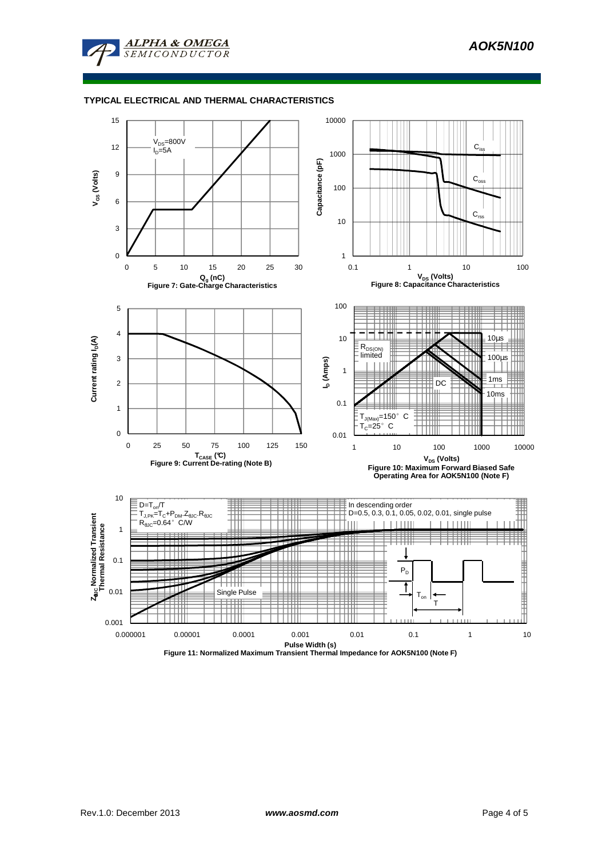

# **TYPICAL ELECTRICAL AND THERMAL CHARACTERISTICS**